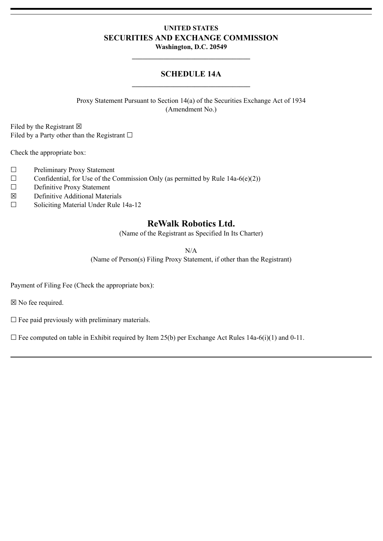#### **UNITED STATES SECURITIES AND EXCHANGE COMMISSION Washington, D.C. 20549**

#### **SCHEDULE 14A \_\_\_\_\_\_\_\_\_\_\_\_\_\_\_\_\_\_\_\_\_\_\_\_\_\_\_\_\_\_\_\_\_\_**

**\_\_\_\_\_\_\_\_\_\_\_\_\_\_\_\_\_\_\_\_\_\_\_\_\_\_\_\_\_\_\_\_\_\_**

Proxy Statement Pursuant to Section 14(a) of the Securities Exchange Act of 1934 (Amendment No.)

Filed by the Registrant  $\boxtimes$ Filed by a Party other than the Registrant  $\Box$ 

Check the appropriate box:

- ☐ Preliminary Proxy Statement
- $\Box$  Confidential, for Use of the Commission Only (as permitted by Rule 14a-6(e)(2))
- ☐ Definitive Proxy Statement
- ☒ Definitive Additional Materials
- ☐ Soliciting Material Under Rule 14a-12

## **ReWalk Robotics Ltd.**

(Name of the Registrant as Specified In Its Charter)

N/A

(Name of Person(s) Filing Proxy Statement, if other than the Registrant)

Payment of Filing Fee (Check the appropriate box):

☒ No fee required.

 $\Box$  Fee paid previously with preliminary materials.

 $\Box$  Fee computed on table in Exhibit required by Item 25(b) per Exchange Act Rules 14a-6(i)(1) and 0-11.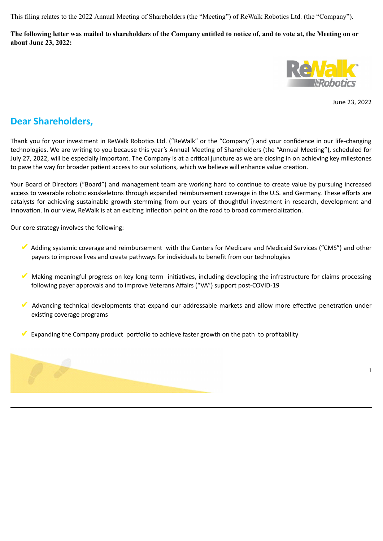This filing relates to the 2022 Annual Meeting of Shareholders (the "Meeting") of ReWalk Robotics Ltd. (the "Company").

**The following letter was mailed to shareholders of the Company entitled to notice of, and to vote at, the Meeting on or about June 23, 2022:**



June 23, 2022

1

# **Dear Shareholders,**

Thank you for your investment in ReWalk Robotics Ltd. ("ReWalk" or the "Company") and your confidence in our life-changing technologies. We are writing to you because this year's Annual Meeting of Shareholders (the "Annual Meeting"), scheduled for July 27, 2022, will be especially important. The Company is at a critical juncture as we are closing in on achieving key milestones to pave the way for broader patient access to our solutions, which we believe will enhance value creation.

Your Board of Directors ("Board") and management team are working hard to continue to create value by pursuing increased access to wearable robotic exoskeletons through expanded reimbursement coverage in the U.S. and Germany. These efforts are catalysts for achieving sustainable growth stemming from our years of thoughtful investment in research, development and innovation. In our view, ReWalk is at an exciting inflection point on the road to broad commercialization.

Our core strategy involves the following:

- ✔ Adding systemic coverage and reimbursement with the Centers for Medicare and Medicaid Services ("CMS") and other payers to improve lives and create pathways for individuals to benefit from our technologies
- ✔ Making meaningful progress on key long-term initiatives, including developing the infrastructure for claims processing following payer approvals and to improve Veterans Affairs ("VA") support post-COVID-19
- ✔ Advancing technical developments that expand our addressable markets and allow more effective penetration under existing coverage programs
- $\blacktriangledown$  Expanding the Company product portfolio to achieve faster growth on the path to profitability

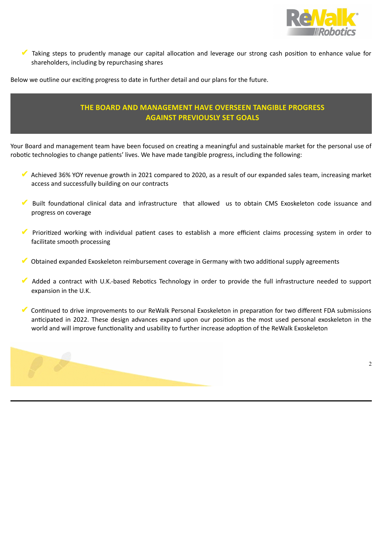

✔ Taking steps to prudently manage our capital allocation and leverage our strong cash position to enhance value for shareholders, including by repurchasing shares

Below we outline our exciting progress to date in further detail and our plans for the future.

## **THE BOARD AND MANAGEMENT HAVE OVERSEEN TANGIBLE PROGRESS AGAINST PREVIOUSLY SET GOALS**

Your Board and management team have been focused on creating a meaningful and sustainable market for the personal use of robotic technologies to change patients' lives. We have made tangible progress, including the following:

- ✔ Achieved 36% YOY revenue growth in 2021 compared to 2020, as a result of our expanded sales team, increasing market access and successfully building on our contracts
- ✔ Built foundational clinical data and infrastructure that allowed us to obtain CMS Exoskeleton code issuance and progress on coverage
- ✔ Prioritized working with individual patient cases to establish a more efficient claims processing system in order to facilitate smooth processing
- ✔ Obtained expanded Exoskeleton reimbursement coverage in Germany with two additional supply agreements
- ✔ Added a contract with U.K.-based Rebotics Technology in order to provide the full infrastructure needed to support expansion in the U.K.
- ✔ Continued to drive improvements to our ReWalk Personal Exoskeleton in preparation for two different FDA submissions anticipated in 2022. These design advances expand upon our position as the most used personal exoskeleton in the world and will improve functionality and usability to further increase adoption of the ReWalk Exoskeleton

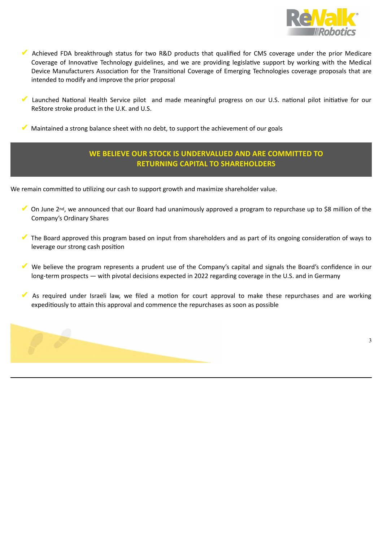

- ✔ Achieved FDA breakthrough status for two R&D products that qualified for CMS coverage under the prior Medicare Coverage of Innovative Technology guidelines, and we are providing legislative support by working with the Medical Device Manufacturers Association for the Transitional Coverage of Emerging Technologies coverage proposals that are intended to modify and improve the prior proposal
- Launched National Health Service pilot and made meaningful progress on our U.S. national pilot initiative for our ReStore stroke product in the U.K. and U.S.

Maintained a strong balance sheet with no debt, to support the achievement of our goals

## **WE BELIEVE OUR STOCK IS UNDERVALUED AND ARE COMMITTED TO RETURNING CAPITAL TO SHAREHOLDERS**

We remain committed to utilizing our cash to support growth and maximize shareholder value.

- ◆ On June 2<sup>nd</sup>, we announced that our Board had unanimously approved a program to repurchase up to \$8 million of the Company's Ordinary Shares
- ✔ The Board approved this program based on input from shareholders and as part of its ongoing consideration of ways to leverage our strong cash position
- ✔ We believe the program represents a prudent use of the Company's capital and signals the Board's confidence in our long-term prospects — with pivotal decisions expected in 2022 regarding coverage in the U.S. and in Germany
- ✔ As required under Israeli law, we filed a motion for court approval to make these repurchases and are working expeditiously to attain this approval and commence the repurchases as soon as possible

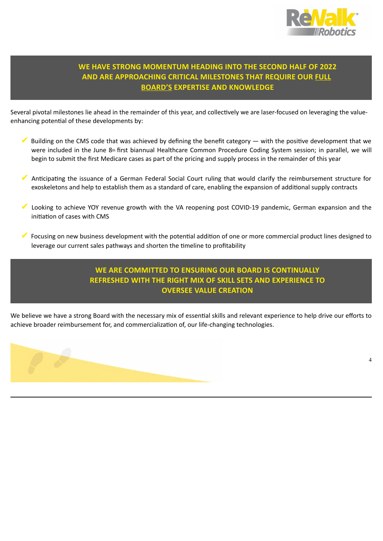

# **WE HAVE STRONG MOMENTUM HEADING INTO THE SECOND HALF OF 2022 AND ARE APPROACHING CRITICAL MILESTONES THAT REQUIRE OUR FULL BOARD'S EXPERTISE AND KNOWLEDGE**

Several pivotal milestones lie ahead in the remainder of this year, and collectively we are laser-focused on leveraging the valueenhancing potential of these developments by:

- $\blacktriangledown$  Building on the CMS code that was achieved by defining the benefit category  $-$  with the positive development that we were included in the June 8<sup>th</sup> first biannual Healthcare Common Procedure Coding System session; in parallel, we will begin to submit the first Medicare cases as part of the pricing and supply process in the remainder of this year
- Anticipating the issuance of a German Federal Social Court ruling that would clarify the reimbursement structure for exoskeletons and help to establish them as a standard of care, enabling the expansion of additional supply contracts
- Looking to achieve YOY revenue growth with the VA reopening post COVID-19 pandemic, German expansion and the initiation of cases with CMS
- ✔ Focusing on new business development with the potential addition of one or more commercial product lines designed to leverage our current sales pathways and shorten the timeline to profitability

## **WE ARE COMMITTED TO ENSURING OUR BOARD IS CONTINUALLY REFRESHED WITH THE RIGHT MIX OF SKILL SETS AND EXPERIENCE TO OVERSEE VALUE CREATION**

We believe we have a strong Board with the necessary mix of essential skills and relevant experience to help drive our efforts to achieve broader reimbursement for, and commercialization of, our life-changing technologies.

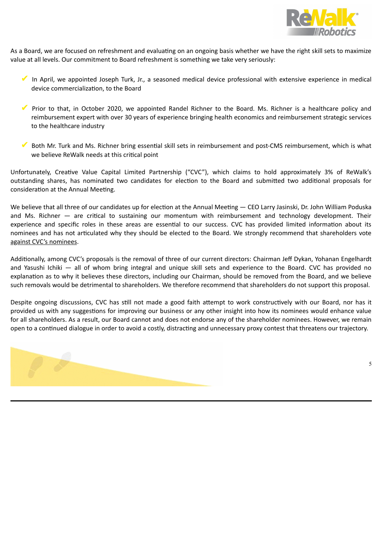

As a Board, we are focused on refreshment and evaluating on an ongoing basis whether we have the right skill sets to maximize value at all levels. Our commitment to Board refreshment is something we take very seriously:

- ✔ In April, we appointed Joseph Turk, Jr., a seasoned medical device professional with extensive experience in medical device commercialization, to the Board
- ✔ Prior to that, in October 2020, we appointed Randel Richner to the Board. Ms. Richner is a healthcare policy and reimbursement expert with over 30 years of experience bringing health economics and reimbursement strategic services to the healthcare industry
- ✔ Both Mr. Turk and Ms. Richner bring essential skill sets in reimbursement and post-CMS reimbursement, which is what we believe ReWalk needs at this critical point

Unfortunately, Creative Value Capital Limited Partnership ("CVC"), which claims to hold approximately 3% of ReWalk's outstanding shares, has nominated two candidates for election to the Board and submitted two additional proposals for consideration at the Annual Meeting.

We believe that all three of our candidates up for election at the Annual Meeting - CEO Larry Jasinski, Dr. John William Poduska and Ms. Richner — are critical to sustaining our momentum with reimbursement and technology development. Their experience and specific roles in these areas are essential to our success. CVC has provided limited information about its nominees and has not articulated why they should be elected to the Board. We strongly recommend that shareholders vote against CVC's nominees.

Additionally, among CVC's proposals is the removal of three of our current directors: Chairman Jeff Dykan, Yohanan Engelhardt and Yasushi Ichiki — all of whom bring integral and unique skill sets and experience to the Board. CVC has provided no explanation as to why it believes these directors, including our Chairman, should be removed from the Board, and we believe such removals would be detrimental to shareholders. We therefore recommend that shareholders do not support this proposal.

Despite ongoing discussions, CVC has still not made a good faith attempt to work constructively with our Board, nor has it provided us with any suggestions for improving our business or any other insight into how its nominees would enhance value for all shareholders. As a result, our Board cannot and does not endorse any of the shareholder nominees. However, we remain open to a continued dialogue in order to avoid a costly, distracting and unnecessary proxy contest that threatens our trajectory.

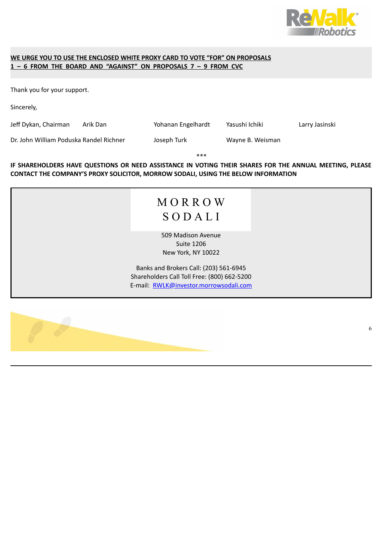

#### **WE URGE YOU TO USE THE ENCLOSED WHITE PROXY CARD TO VOTE "FOR" ON PROPOSALS 1 – 6 FROM THE BOARD AND "AGAINST" ON PROPOSALS 7 – 9 FROM CVC**

Thank you for your support.

Sincerely,

Jeff Dykan, Chairman Arik Dan Yohanan Engelhardt Yasushi Ichiki Larry Jasinski

Dr. John William Poduska Randel Richner Joseph Turk Wayne B. Weisman

**\*\*\***

**IF SHAREHOLDERS HAVE QUESTIONS OR NEED ASSISTANCE IN VOTING THEIR SHARES FOR THE ANNUAL MEETING, PLEASE CONTACT THE COMPANY'S PROXY SOLICITOR, MORROW SODALI, USING THE BELOW INFORMATION**

# M O R R O W S O D A L I

509 Madison Avenue Suite 1206 New York, NY 10022

Banks and Brokers Call: (203) 561-6945 Shareholders Call Toll Free: (800) 662-5200 E-mail: RWLK@investor.morrowsodali.com

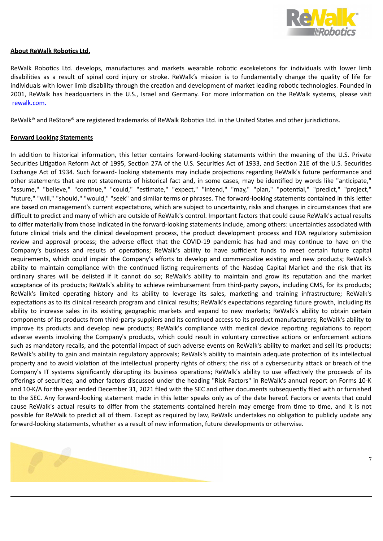

#### **About ReWalk Robotics Ltd.**

ReWalk Robotics Ltd. develops, manufactures and markets wearable robotic exoskeletons for individuals with lower limb disabilities as a result of spinal cord injury or stroke. ReWalk's mission is to fundamentally change the quality of life for individuals with lower limb disability through the creation and development of market leading robotic technologies. Founded in 2001, ReWalk has headquarters in the U.S., Israel and Germany. For more information on the ReWalk systems, please visit rewalk.com.

ReWalk® and ReStore® are registered trademarks of ReWalk Robotics Ltd. in the United States and other jurisdictions.

#### **Forward Looking Statements**

In addition to historical information, this letter contains forward-looking statements within the meaning of the U.S. Private Securities Litigation Reform Act of 1995, Section 27A of the U.S. Securities Act of 1933, and Section 21E of the U.S. Securities Exchange Act of 1934. Such forward- looking statements may include projections regarding ReWalk's future performance and other statements that are not statements of historical fact and, in some cases, may be identified by words like "anticipate," "assume," "believe," "continue," "could," "estimate," "expect," "intend," "may," "plan," "potential," "predict," "project," "future," "will," "should," "would," "seek" and similar terms or phrases. The forward-looking statements contained in this letter are based on management's current expectations, which are subject to uncertainty, risks and changes in circumstances that are difficult to predict and many of which are outside of ReWalk's control. Important factors that could cause ReWalk's actual results to differ materially from those indicated in the forward-looking statements include, among others: uncertainties associated with future clinical trials and the clinical development process, the product development process and FDA regulatory submission review and approval process; the adverse effect that the COVID-19 pandemic has had and may continue to have on the Company's business and results of operations; ReWalk's ability to have sufficient funds to meet certain future capital requirements, which could impair the Company's efforts to develop and commercialize existing and new products; ReWalk's ability to maintain compliance with the continued listing requirements of the Nasdaq Capital Market and the risk that its ordinary shares will be delisted if it cannot do so; ReWalk's ability to maintain and grow its reputation and the market acceptance of its products; ReWalk's ability to achieve reimbursement from third-party payors, including CMS, for its products; ReWalk's limited operating history and its ability to leverage its sales, marketing and training infrastructure; ReWalk's expectations as to its clinical research program and clinical results; ReWalk's expectations regarding future growth, including its ability to increase sales in its existing geographic markets and expand to new markets; ReWalk's ability to obtain certain components of its products from third-party suppliers and its continued access to its product manufacturers; ReWalk's ability to improve its products and develop new products; ReWalk's compliance with medical device reporting regulations to report adverse events involving the Company's products, which could result in voluntary corrective actions or enforcement actions such as mandatory recalls, and the potential impact of such adverse events on ReWalk's ability to market and sell its products; ReWalk's ability to gain and maintain regulatory approvals; ReWalk's ability to maintain adequate protection of its intellectual property and to avoid violation of the intellectual property rights of others; the risk of a cybersecurity attack or breach of the Company's IT systems significantly disrupting its business operations; ReWalk's ability to use effectively the proceeds of its offerings of securities; and other factors discussed under the heading "Risk Factors" in ReWalk's annual report on Forms 10-K and 10-K/A for the year ended December 31, 2021 filed with the SEC and other documents subsequently filed with or furnished to the SEC. Any forward-looking statement made in this letter speaks only as of the date hereof. Factors or events that could cause ReWalk's actual results to differ from the statements contained herein may emerge from time to time, and it is not possible for ReWalk to predict all of them. Except as required by law, ReWalk undertakes no obligation to publicly update any forward-looking statements, whether as a result of new information, future developments or otherwise.